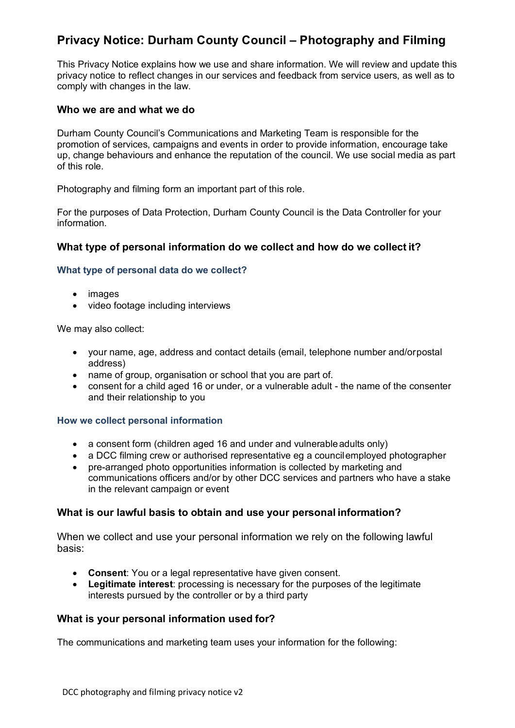# **Privacy Notice: Durham County Council – Photography and Filming**

This Privacy Notice explains how we use and share information. We will review and update this privacy notice to reflect changes in our services and feedback from service users, as well as to comply with changes in the law.

### **Who we are and what we do**

Durham County Council's Communications and Marketing Team is responsible for the promotion of services, campaigns and events in order to provide information, encourage take up, change behaviours and enhance the reputation of the council. We use social media as part of this role.

Photography and filming form an important part of this role.

For the purposes of Data Protection, Durham County Council is the Data Controller for your information.

# **What type of personal information do we collect and how do we collect it?**

### **What type of personal data do we collect?**

- images
- video footage including interviews

We may also collect:

- your name, age, address and contact details (email, telephone number and/orpostal address)
- name of group, organisation or school that you are part of.
- consent for a child aged 16 or under, or a vulnerable adult the name of the consenter and their relationship to you

#### **How we collect personal information**

- a consent form (children aged 16 and under and vulnerableadults only)
- a DCC filming crew or authorised representative eg a councilemployed photographer
- pre-arranged photo opportunities information is collected by marketing and communications officers and/or by other DCC services and partners who have a stake in the relevant campaign or event

# **What is our lawful basis to obtain and use your personal information?**

When we collect and use your personal information we rely on the following lawful basis:

- **Consent**: You or a legal representative have given consent.
- **Legitimate interest**: processing is necessary for the purposes of the legitimate interests pursued by the controller or by a third party

# **What is your personal information used for?**

The communications and marketing team uses your information for the following: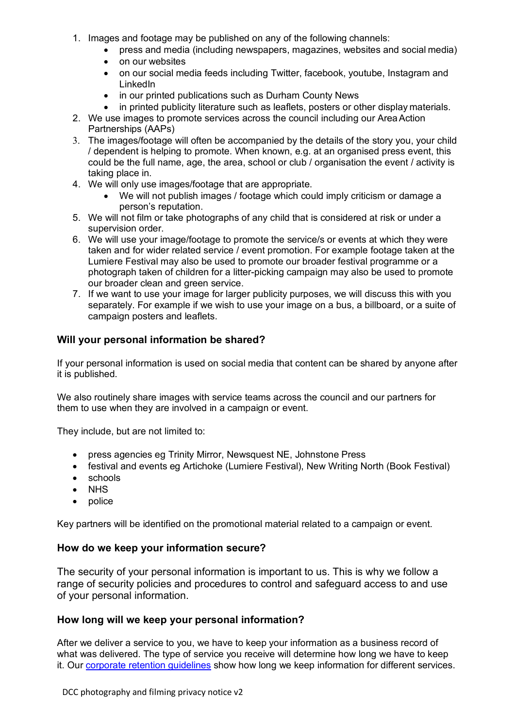- 1. Images and footage may be published on any of the following channels:
	- press and media (including newspapers, magazines, websites and social media)
	- on our websites
	- on our social media feeds including Twitter, facebook, youtube, Instagram and LinkedIn
	- in our printed publications such as Durham County News
	- in printed publicity literature such as leaflets, posters or other display materials.
- 2. We use images to promote services across the council including our AreaAction Partnerships (AAPs)
- 3. The images/footage will often be accompanied by the details of the story you, your child / dependent is helping to promote. When known, e.g. at an organised press event, this could be the full name, age, the area, school or club / organisation the event / activity is taking place in.
- 4. We will only use images/footage that are appropriate.
	- We will not publish images / footage which could imply criticism or damage a person's reputation.
- 5. We will not film or take photographs of any child that is considered at risk or under a supervision order.
- 6. We will use your image/footage to promote the service/s or events at which they were taken and for wider related service / event promotion. For example footage taken at the Lumiere Festival may also be used to promote our broader festival programme or a photograph taken of children for a litter-picking campaign may also be used to promote our broader clean and green service.
- 7. If we want to use your image for larger publicity purposes, we will discuss this with you separately. For example if we wish to use your image on a bus, a billboard, or a suite of campaign posters and leaflets.

# **Will your personal information be shared?**

If your personal information is used on social media that content can be shared by anyone after it is published.

We also routinely share images with service teams across the council and our partners for them to use when they are involved in a campaign or event.

They include, but are not limited to:

- press agencies eg Trinity Mirror, Newsquest NE, Johnstone Press
- festival and events eg Artichoke (Lumiere Festival), New Writing North (Book Festival)
- schools
- NHS
- police

Key partners will be identified on the promotional material related to a campaign or event.

# **How do we keep your information secure?**

The security of your personal information is important to us. This is why we follow a range of security policies and procedures to control and safeguard access to and use of your personal information.

# **How long will we keep your personal information?**

After we deliver a service to you, we have to keep your information as a business record of what was delivered. The type of service you receive will determine how long we have to keep it. Our [corporate retention guidelines](http://www.durham.gov.uk/dataprivacy) show how long we keep information for different services.